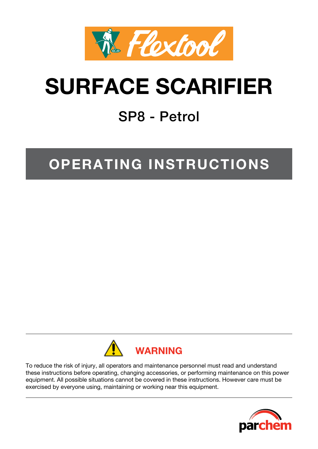

# **SURFACE SCARIFIER**

## SP8 - Petrol

## **OPERATING INSTRUCTIONS**



To reduce the risk of injury, all operators and maintenance personnel must read and understand these instructions before operating, changing accessories, or performing maintenance on this power equipment. All possible situations cannot be covered in these instructions. However care must be exercised by everyone using, maintaining or working near this equipment.

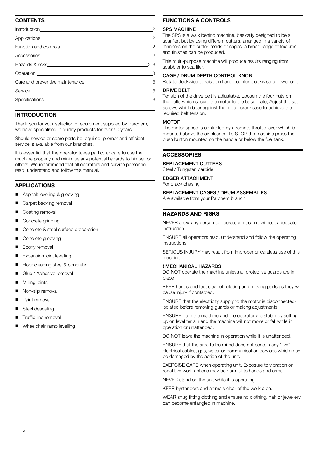### **Contents**

|                                                                                                                 | $\overline{2}$             |
|-----------------------------------------------------------------------------------------------------------------|----------------------------|
|                                                                                                                 | $\overline{c}$             |
|                                                                                                                 |                            |
|                                                                                                                 | $2 - 3$                    |
|                                                                                                                 | $\overline{\phantom{a}}$ 3 |
|                                                                                                                 |                            |
| Service entertainment of the service of the service of the service of the service of the service of the service | - 3                        |
|                                                                                                                 | -3                         |
|                                                                                                                 |                            |

### **INTRODUCTION**

Thank you for your selection of equipment supplied by Parchem, we have specialised in quality products for over 50 years.

Should service or spare parts be required, prompt and efficient service is available from our branches.

It is essential that the operator takes particular care to use the machine properly and minimise any potential hazards to himself or others. We recommend that all operators and service personnel read, understand and follow this manual.

#### **Applications**

- Asphalt levelling & grooving
- Carpet backing removal
- Coating removal
- Concrete grinding
- Concrete & steel surface preparation
- Concrete grooving
- Epoxy removal
- Expansion joint levelling
- Floor cleaning steel & concrete
- Glue / Adhesive removal
- Milling joints
- Non-slip removal
- Paint removal
- Steel descaling
- Traffic line removal
- Wheelchair ramp levelling

#### **Functions & controls**

#### **SPS MACHINE**

The SPS is a walk behind machine, basically designed to be a scarifier, but by using different cutters, arranged in a variety of manners on the cutter heads or cages, a broad range of textures and finishes can be produced.

This multi-purpose machine will produce results ranging from scabbier to scarifier.

#### Cage / Drum Depth Control Knob

Rotate clockwise to raise unit and counter clockwise to lower unit.

### Drive belt

Tension of the drive belt is adjustable. Loosen the four nuts on the bolts which secure the motor to the base plate, Adjust the set screws which bear against the motor crankcase to achieve the required belt tension.

#### **MOTOR**

The motor speed is controlled by a remote throttle lever which is mounted above the air cleaner. To STOP the machine press the push button mounted on the handle or below the fuel tank.

#### **ACCESSORIES accessories**

#### Replacement Cutters

Steel / Tungsten carbide

#### Edger Attachment For crack chasing

#### Replacement Cages / Drum assemblies

Are available from your Parchem branch

#### **Hazards and risks**

NEVER allow any person to operate a machine without adequate instruction.

ENSURE all operators read, understand and follow the operating instructions.

SERIOUS INJURY may result from improper or careless use of this machine

#### ! MECHANICAL HAZARDS

DO NOT operate the machine unless all protective guards are in place

KEEP hands and feet clear of rotating and moving parts as they will cause injury if contacted.

ENSURE that the electricity supply to the motor is disconnected/ isolated before removing guards or making adjustments.

ENSURE both the machine and the operator are stable by setting up on level terrain and the machine will not move or fall while in operation or unattended.

DO NOT leave the machine in operation while it is unattended.

ENSURE that the area to be milled does not contain any "live" electrical cables, gas, water or communication services which may be damaged by the action of the unit.

EXERCISE CARE when operating unit. Exposure to vibration or repetitive work actions may be harmful to hands and arms.

NEVER stand on the unit while it is operating.

KEEP bystanders and animals clear of the work area.

WEAR snug fitting clothing and ensure no clothing, hair or jewellery can become entangled in machine.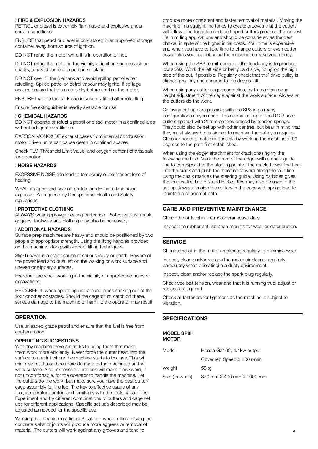#### ! FIRE & EXPLOSION HAZARDS

PETROL or diesel is extremely flammable and explosive under certain conditions.

ENSURE that petrol or diesel is only stored in an approved storage container away from source of ignition.

DO NOT refuel the motor while it is in operation or hot.

DO NOT refuel the motor in the vicinity of ignition source such as sparks, a naked flame or a person smoking.

DO NOT over fill the fuel tank and avoid spilling petrol when refuelling. Spilled petrol or petrol vapour may ignite. If spillage occurs, ensure that the area is dry before starting the motor.

ENSURE that the fuel tank cap is securely fitted after refuelling.

Ensure fire extinguisher is readily available for use.

#### ! CHEMICAL HAZARDS

DO NOT operate or refuel a petrol or diesel motor in a confined area without adequate ventilation.

CARBON MONOXIDE exhaust gases from internal combustion motor driven units can cause death in confined spaces.

Check TLV (Threshold Limit Value) and oxygen content of area safe for operation.

#### ! NOISE HAZARDS

EXCESSIVE NOISE can lead to temporary or permanent loss of hearing.

WEAR an approved hearing protection device to limit noise exposure. As required by Occupational Health and Safety regulations.

#### ! PROTECTIVE CLOTHING

ALWAYS wear approved hearing protection. Protective dust mask, goggles, footwear and clothing may also be necessary.

#### ! ADDITIONAL HAZARDS

Surface prep machines are heavy and should be positioned by two people of appropriate strength. Using the lifting handles provided on the machine, along with correct lifting techniques.

Slip/Trip/Fall is a major cause of serious injury or death. Beware of the power lead and dust left on the walking or work surface and uneven or slippery surfaces.

Exercise care when working in the vicinity of unprotected holes or excavations

BE CAREFUL when operating unit around pipes sticking out of the floor or other obstacles. Should the cage/drum catch on these, serious damage to the machine or harm to the operator may result.

#### **OPERATION operation**

Use unleaded grade petrol and ensure that the fuel is free from contamination.

#### OPERATING SUGGESTIONS

With any machine there are tricks to using them that make them work more efficiently. Never force the cutter head into the surface to a point where the machine starts to bounce. This will minimise results and do more damage to the machine than the work surface. Also, excessive vibrations will make it awkward, if not uncomfortable, for the operator to handle the machine. Let the cutters do the work, but make sure you have the best cutter/ cage assembly for the job. The key to effective usage of any tool, is operator comfort and familiarity with the tools capabilities. Experiment and try different combinations of cutters and cage set ups for different applications. Specific set ups described may be adjusted as needed for the specific use.

Working the machine in a figure 8 pattern, when milling misaligned concrete slabs or joints will produce more aggressive removal of material. The cutters will work against any grooves and tend to

produce more consistent and faster removal of material. Moving the machine in a straight line tends to create grooves that the cutters will follow. The tungsten carbide tipped cutters produce the longest life in milling applications and should be considered as the best choice, in spite of the higher initial costs. Your time is expensive and when you have to take time to change cutters or even cutter assemblies you are not using the machine to make you money.

When using the SPS to mill concrete, the tendency is to produce low spots. Work the left side or belt guard side, riding on the high side of the cut, if possible. Regularly check that the' drive pulley is aligned properly and secured to the drive shaft.

When using any cutter cage assemblies, try to maintain equal height adjustment of the cage against the work surface. Always let the cutters do the work.

Grooving set ups are possible with the SP8 in as many configurations as you need. The normal set up of the R123 uses cutlers spaced with 25mm centres braced by tension springs. They could also be set up with other centres, but bear in mind that they must always be tensioned to maintain the path you require. Checker board effects are possible by working the machine at 90 degrees to the path first established.

When using the edger attachment for crack chasing try the following method. Mark the front of the edger with a chalk guide line to correspond to the starting point of the crack. Lower the head into the crack and push the machine forward along the fault line using the chalk mark as the steering guide. Using carbides gives the longest life, but B-2 and B-3 cutters may also be used in the set up. Always tension the cutters in the cage with spring load to maintain a consistent path.

## **care and preventive maintenance**

Check the oil level in the motor crankcase daily.

Inspect the rubber anti vibration mounts for wear or deterioration.

#### **service**

Change the oil in the motor crankcase regularly to minimise wear.

Inspect, clean and/or replace the motor air cleaner regularly, particularly when operatingi n a dusty environment.

Inspect, clean and/or replace the spark plug regularly.

Check vee belt tension, wear and that it is running true, adjust or replace as required.

Check all fasteners for tightness as the machine is subject to vibration.

#### **SPECIFICATIONS specifications**

#### Model SP8H MOTOR

| Model            | Honda GX160, 4.1kw output  |
|------------------|----------------------------|
|                  | Governed Speed 3,600 r/min |
| Weight           | 58ka                       |
| Size (I x w x h) | 870 mm X 400 mm X 1000 mm  |